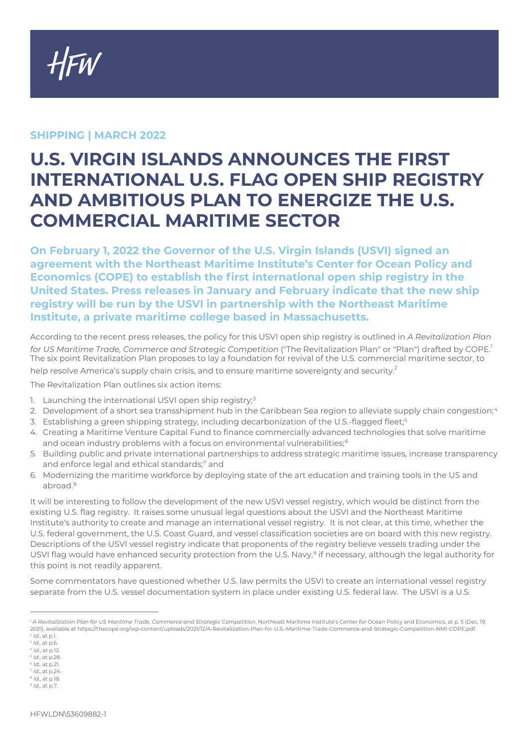**HFW** 

## **SHIPPING | MARCH 2022**

## **U.S. VIRGIN ISLANDS ANNOUNCES THE FIRST INTERNATIONAL U.S. FLAG OPEN SHIP REGISTRY AND AMBITIOUS PLAN TO ENERGIZE THE U.S. COMMERCIAL MARITIME SECTOR**

**On February 1, 2022 the Governor of the U.S. Virgin Islands (USVI) signed an agreement with the Northeast Maritime Institute's Center for Ocean Policy and Economics (COPE) to establish the first international open ship registry in the United States. Press releases in January and February indicate that the new ship registry will be run by the USVI in partnership with the Northeast Maritime Institute, a private maritime college based in Massachusetts.**

According to the recent press releases, the policy for this USVI open ship registry is outlined in *A Revitalization Plan*  for *US Maritime Trade, Commerce and Strategic Competition* ("The Revitalization Plan" or "Plan") drafted by COPE.<sup>[1](#page-0-0)</sup> The six point Revitalization Plan proposes to lay a foundation for revival of the U.S. commercial maritime sector, to help resolve America's supply chain crisis, and to ensure maritime sovereignty and security.<sup>[2](#page-0-1)</sup>

The Revitalization Plan outlines six action items:

- 1. Launching the international USVI open ship registry;<sup>[3](#page-0-2)</sup>
- 2. Development of a short sea transshipment hub in the Caribbean Sea region to alleviate supply chain congestion;<sup>[4](#page-0-3)</sup>
- 3. Establishing a green shipping strategy, including decarbonization of the U.S.-flagged fleet;<sup>[5](#page-0-4)</sup>
- 4. Creating a Maritime Venture Capital Fund to finance commercially advanced technologies that solve maritime and ocean industry problems with a focus on environmental vulnerabilities;<sup>[6](#page-0-5)</sup>
- 5. Building public and private international partnerships to address strategic maritime issues, increase transparency and enforce legal and ethical standards;[7](#page-0-6) and
- 6. Modernizing the maritime workforce by deploying state of the art education and training tools in the US and abroad.[8](#page-0-7)

It will be interesting to follow the development of the new USVI vessel registry, which would be distinct from the existing U.S. flag registry. It raises some unusual legal questions about the USVI and the Northeast Maritime Institute's authority to create and manage an international vessel registry. It is not clear, at this time, whether the U.S. federal government, the U.S. Coast Guard, and vessel classification societies are on board with this new registry. Descriptions of the USVI vessel registry indicate that proponents of the registry believe vessels trading under the USVI flag would have enhanced security protection from the U.S. Navy,<sup>[9](#page-0-8)</sup> if necessary, although the legal authority for this point is not readily apparent.

Some commentators have questioned whether U.S. law permits the USVI to create an international vessel registry separate from the U.S. vessel documentation system in place under existing U.S. federal law. The USVI is a U.S.

<span id="page-0-0"></span><sup>1</sup> *A Revitalization Plan for US Maritime Trade*, *Commerce and Strategic Competition*, Northeast Maritime Institute's Center for Ocean Policy and Economics, at p. 5 (Dec. 19, 2021), available at https://thecope.org/wp-content/uploads/2021/12/A-Revitalization-Plan-for-U.S.-Maritime-Trade-Commerce-and-Strategic-Competition-NMI-COPE.pdf. <sup>2</sup> *Id.*, at p.1.

<span id="page-0-2"></span><span id="page-0-1"></span><sup>3</sup> *Id*., at p.6

<span id="page-0-3"></span><sup>4</sup> *Id*., at p.12.

<sup>5</sup> *Id*., at p.28.

<span id="page-0-5"></span><span id="page-0-4"></span><sup>6</sup> *Id*., at p.21. <sup>7</sup> *Id*., at p.24.

<span id="page-0-7"></span><span id="page-0-6"></span><sup>8</sup> *Id*., at p.18.

<span id="page-0-8"></span><sup>9</sup> *Id*., at p.7.